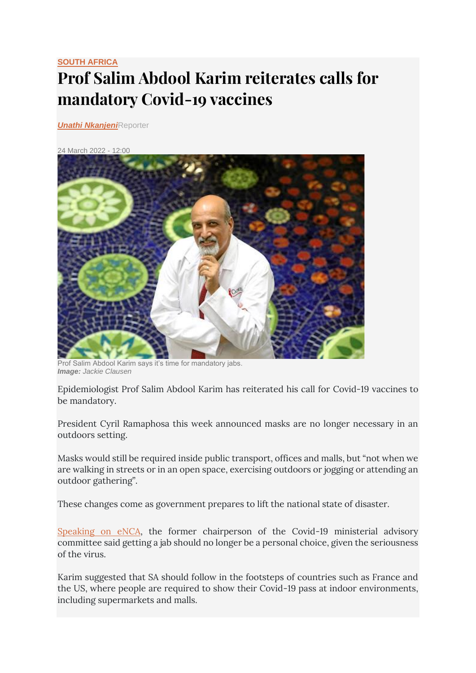## **[SOUTH AFRICA](https://www.timeslive.co.za/times-live/news/south-africa/) Prof Salim Abdool Karim reiterates calls for mandatory Covid-19 vaccines**

*[Unathi Nkanjeni](https://www.timeslive.co.za/authors/unathi-nkanjeni)*Reporter

## [24 March 2022 -](https://lh3.googleusercontent.com/QEhy8GEEyNFeM47FHg8M6OKQs86JGVsqKbJQ8FeODvtguYcKjNSpZXx0fuEba_AO3gqtZhZ4R6zViJ6uAHrRxqiwP8U039Fpgyw=s1200) 12:00



Prof Salim Abdool Karim says it's time for mandatory jabs. *Image: Jackie Clausen*

Epidemiologist Prof Salim Abdool Karim has reiterated his call for Covid-19 vaccines to be mandatory.

President Cyril Ramaphosa this week announced masks are no longer necessary in an outdoors setting.

Masks would still be required inside public transport, offices and malls, but "not when we are walking in streets or in an open space, exercising outdoors or jogging or attending an outdoor gathering".

These changes come as government prepares to lift the national state of disaster.

[Speaking on eNCA,](https://twitter.com/eNCA/status/1506569814894120963) the former chairperson of the Covid-19 ministerial advisory committee said getting a jab should no longer be a personal choice, given the seriousness of the virus.

Karim suggested that SA should follow in the footsteps of countries such as France and the US, where people are required to show their Covid-19 pass at indoor environments, including supermarkets and malls.